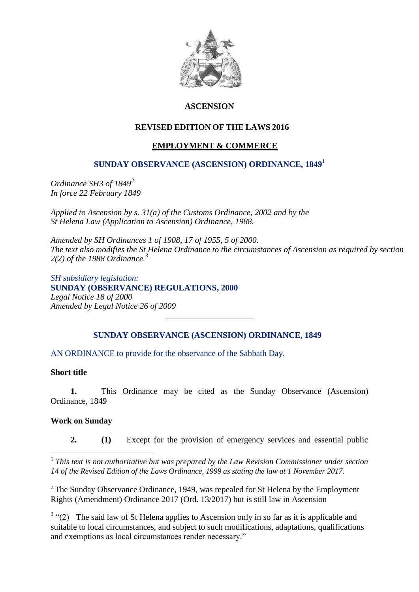

# **ASCENSION**

# **REVISED EDITION OF THE LAWS 2016**

# **EMPLOYMENT & COMMERCE**

### **SUNDAY OBSERVANCE (ASCENSION) ORDINANCE, 1849<sup>1</sup>**

*Ordinance SH3 of 1849<sup>2</sup> In force 22 February 1849*

*Applied to Ascension by s. 31(a) of the Customs Ordinance, 2002 and by the St Helena Law (Application to Ascension) Ordinance, 1988.*

*Amended by SH Ordinances 1 of 1908, 17 of 1955, 5 of 2000. The text also modifies the St Helena Ordinance to the circumstances of Ascension as required by section 2(2) of the 1988 Ordinance. 3*

*SH subsidiary legislation:* **SUNDAY (OBSERVANCE) REGULATIONS, 2000** *Legal Notice 18 of 2000 Amended by Legal Notice 26 of 2009 \_\_\_\_\_\_\_\_\_\_\_\_\_\_\_\_\_\_\_\_\_*

# **SUNDAY OBSERVANCE (ASCENSION) ORDINANCE, 1849**

AN ORDINANCE to provide for the observance of the Sabbath Day.

### **Short title**

**1.** This Ordinance may be cited as the Sunday Observance (Ascension) Ordinance, 1849

### **Work on Sunday**

**2. (1)** Except for the provision of emergency services and essential public

 1 *This text is not authoritative but was prepared by the Law Revision Commissioner under section 14 of the Revised Edition of the Laws Ordinance, 1999 as stating the law at 1 November 2017.*

<sup>2</sup> The Sunday Observance Ordinance, 1949, was repealed for St Helena by the Employment Rights (Amendment) Ordinance 2017 (Ord. 13/2017) but is still law in Ascension

 $3$  "(2) The said law of St Helena applies to Ascension only in so far as it is applicable and suitable to local circumstances, and subject to such modifications, adaptations, qualifications and exemptions as local circumstances render necessary."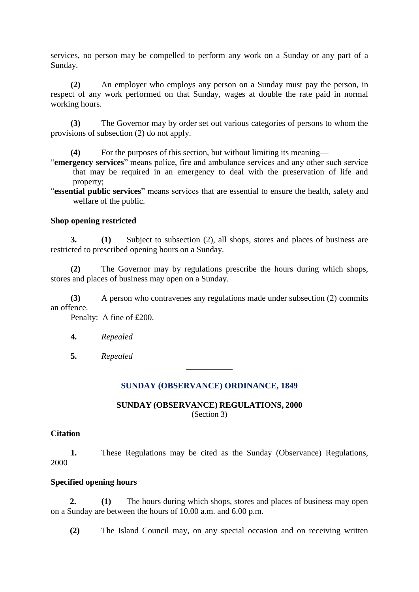services, no person may be compelled to perform any work on a Sunday or any part of a Sunday.

**(2)** An employer who employs any person on a Sunday must pay the person, in respect of any work performed on that Sunday, wages at double the rate paid in normal working hours.

**(3)** The Governor may by order set out various categories of persons to whom the provisions of subsection (2) do not apply.

**(4)** For the purposes of this section, but without limiting its meaning—

"**emergency services**" means police, fire and ambulance services and any other such service that may be required in an emergency to deal with the preservation of life and property;

"**essential public services**" means services that are essential to ensure the health, safety and welfare of the public.

### **Shop opening restricted**

**3. (1)** Subject to subsection (2), all shops, stores and places of business are restricted to prescribed opening hours on a Sunday.

**(2)** The Governor may by regulations prescribe the hours during which shops, stores and places of business may open on a Sunday.

**(3)** A person who contravenes any regulations made under subsection (2) commits an offence.

Penalty: A fine of £200.

**4.** *Repealed*

**5.** *Repealed*

### **SUNDAY (OBSERVANCE) ORDINANCE, 1849**

\_\_\_\_\_\_\_\_\_\_\_

#### **SUNDAY (OBSERVANCE) REGULATIONS, 2000** (Section 3)

#### **Citation**

**1.** These Regulations may be cited as the Sunday (Observance) Regulations, 2000

### **Specified opening hours**

**2. (1)** The hours during which shops, stores and places of business may open on a Sunday are between the hours of 10.00 a.m. and 6.00 p.m.

**(2)** The Island Council may, on any special occasion and on receiving written